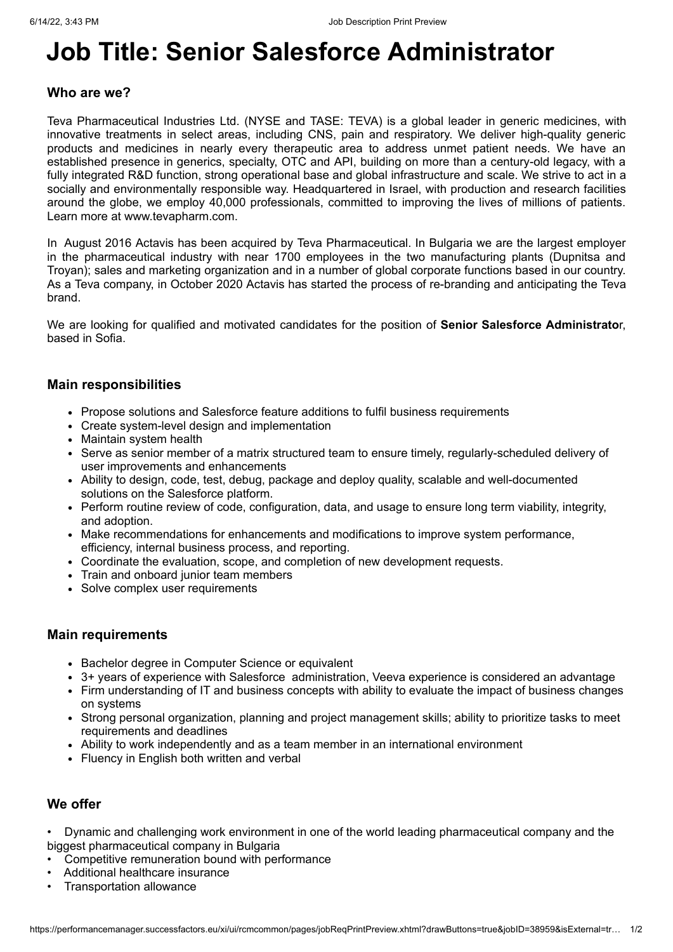# **Job Title: Senior Salesforce Administrator**

#### **Who are we?**

Teva Pharmaceutical Industries Ltd. (NYSE and TASE: TEVA) is a global leader in generic medicines, with innovative treatments in select areas, including CNS, pain and respiratory. We deliver high-quality generic products and medicines in nearly every therapeutic area to address unmet patient needs. We have an established presence in generics, specialty, OTC and API, building on more than a century-old legacy, with a fully integrated R&D function, strong operational base and global infrastructure and scale. We strive to act in a socially and environmentally responsible way. Headquartered in Israel, with production and research facilities around the globe, we employ 40,000 professionals, committed to improving the lives of millions of patients. Learn more at www.tevapharm.com.

In August 2016 Actavis has been acquired by Teva Pharmaceutical. In Bulgaria we are the largest employer in the pharmaceutical industry with near 1700 employees in the two manufacturing plants (Dupnitsa and Troyan); sales and marketing organization and in a number of global corporate functions based in our country. As a Teva company, in October 2020 Actavis has started the process of re-branding and anticipating the Teva brand.

We are looking for qualified and motivated candidates for the position of **Senior Salesforce Administrato**r, based in Sofia.

#### **Main responsibilities**

- Propose solutions and Salesforce feature additions to fulfil business requirements
- Create system-level design and implementation
- Maintain system health
- Serve as senior member of a matrix structured team to ensure timely, regularly-scheduled delivery of user improvements and enhancements
- Ability to design, code, test, debug, package and deploy quality, scalable and well-documented solutions on the Salesforce platform.
- Perform routine review of code, configuration, data, and usage to ensure long term viability, integrity, and adoption.
- Make recommendations for enhancements and modifications to improve system performance, efficiency, internal business process, and reporting.
- Coordinate the evaluation, scope, and completion of new development requests.
- Train and onboard junior team members
- Solve complex user requirements

#### **Main requirements**

- Bachelor degree in Computer Science or equivalent
- 3+ years of experience with Salesforce administration, Veeva experience is considered an advantage
- Firm understanding of IT and business concepts with ability to evaluate the impact of business changes on systems
- Strong personal organization, planning and project management skills; ability to prioritize tasks to meet requirements and deadlines
- Ability to work independently and as a team member in an international environment
- Fluency in English both written and verbal

## **We offer**

• Dynamic and challenging work environment in one of the world leading pharmaceutical company and the biggest pharmaceutical company in Bulgaria

- Competitive remuneration bound with performance
- Additional healthcare insurance
- Transportation allowance